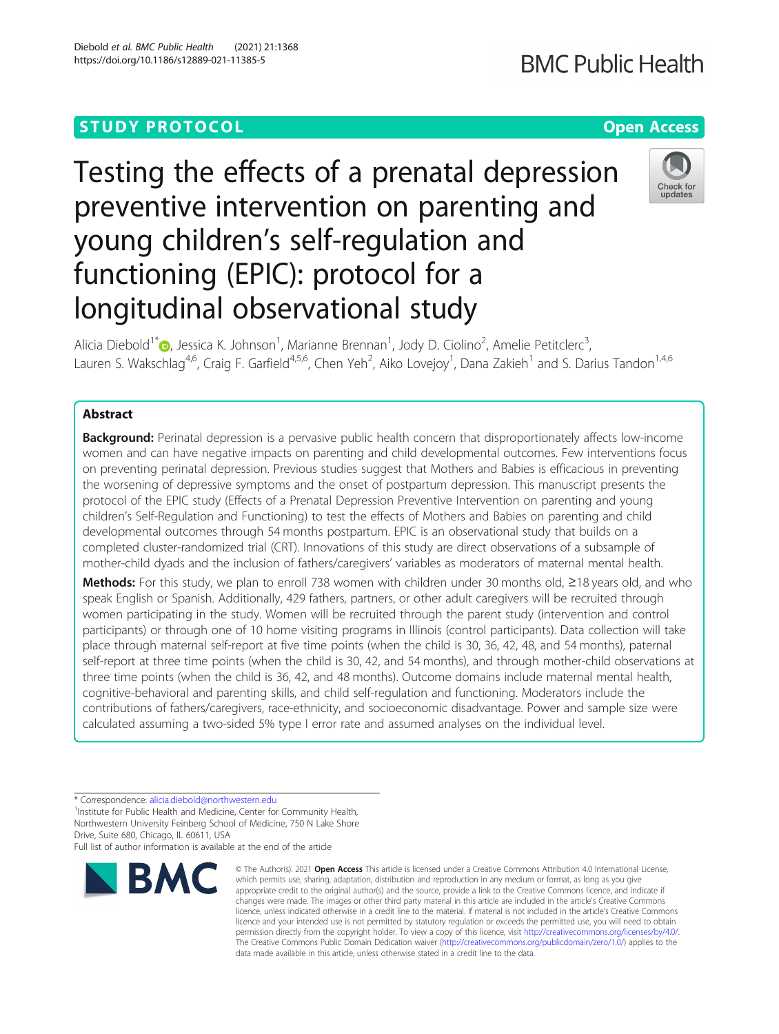# **STUDY PROTOCOL CONSUMING THE RESERVE ACCESS**

# Testing the effects of a prenatal depression preventive intervention on parenting and young children's self-regulation and functioning (EPIC): protocol for a longitudinal observational study

Alicia Diebold<sup>1[\\*](http://orcid.org/0000-0002-1085-9105)</sup> (**p**., Jessica K. Johnson<sup>1</sup>, Marianne Brennan<sup>1</sup>, Jody D. Ciolino<sup>2</sup>, Amelie Petitclerc<sup>3</sup> , Lauren S. Wakschlag<sup>4,6</sup>, Craig F. Garfield<sup>4,5,6</sup>, Chen Yeh<sup>2</sup>, Aiko Lovejoy<sup>1</sup>, Dana Zakieh<sup>1</sup> and S. Darius Tandon<sup>1,4,6</sup>

# Abstract

\* Correspondence: [alicia.diebold@northwestern.edu](mailto:alicia.diebold@northwestern.edu) <sup>1</sup>

Drive, Suite 680, Chicago, IL 60611, USA

<sup>1</sup>Institute for Public Health and Medicine, Center for Community Health, Northwestern University Feinberg School of Medicine, 750 N Lake Shore

**Background:** Perinatal depression is a pervasive public health concern that disproportionately affects low-income women and can have negative impacts on parenting and child developmental outcomes. Few interventions focus on preventing perinatal depression. Previous studies suggest that Mothers and Babies is efficacious in preventing the worsening of depressive symptoms and the onset of postpartum depression. This manuscript presents the protocol of the EPIC study (Effects of a Prenatal Depression Preventive Intervention on parenting and young children's Self-Regulation and Functioning) to test the effects of Mothers and Babies on parenting and child developmental outcomes through 54 months postpartum. EPIC is an observational study that builds on a completed cluster-randomized trial (CRT). Innovations of this study are direct observations of a subsample of mother-child dyads and the inclusion of fathers/caregivers' variables as moderators of maternal mental health.

Methods: For this study, we plan to enroll 738 women with children under 30 months old, ≥18 years old, and who speak English or Spanish. Additionally, 429 fathers, partners, or other adult caregivers will be recruited through women participating in the study. Women will be recruited through the parent study (intervention and control participants) or through one of 10 home visiting programs in Illinois (control participants). Data collection will take place through maternal self-report at five time points (when the child is 30, 36, 42, 48, and 54 months), paternal self-report at three time points (when the child is 30, 42, and 54 months), and through mother-child observations at three time points (when the child is 36, 42, and 48 months). Outcome domains include maternal mental health, cognitive-behavioral and parenting skills, and child self-regulation and functioning. Moderators include the contributions of fathers/caregivers, race-ethnicity, and socioeconomic disadvantage. Power and sample size were calculated assuming a two-sided 5% type I error rate and assumed analyses on the individual level.

data made available in this article, unless otherwise stated in a credit line to the data.

Full list of author information is available at the end of the article **BMC** 





<sup>©</sup> The Author(s), 2021 **Open Access** This article is licensed under a Creative Commons Attribution 4.0 International License, which permits use, sharing, adaptation, distribution and reproduction in any medium or format, as long as you give appropriate credit to the original author(s) and the source, provide a link to the Creative Commons licence, and indicate if changes were made. The images or other third party material in this article are included in the article's Creative Commons licence, unless indicated otherwise in a credit line to the material. If material is not included in the article's Creative Commons licence and your intended use is not permitted by statutory regulation or exceeds the permitted use, you will need to obtain permission directly from the copyright holder. To view a copy of this licence, visit [http://creativecommons.org/licenses/by/4.0/.](http://creativecommons.org/licenses/by/4.0/) The Creative Commons Public Domain Dedication waiver [\(http://creativecommons.org/publicdomain/zero/1.0/](http://creativecommons.org/publicdomain/zero/1.0/)) applies to the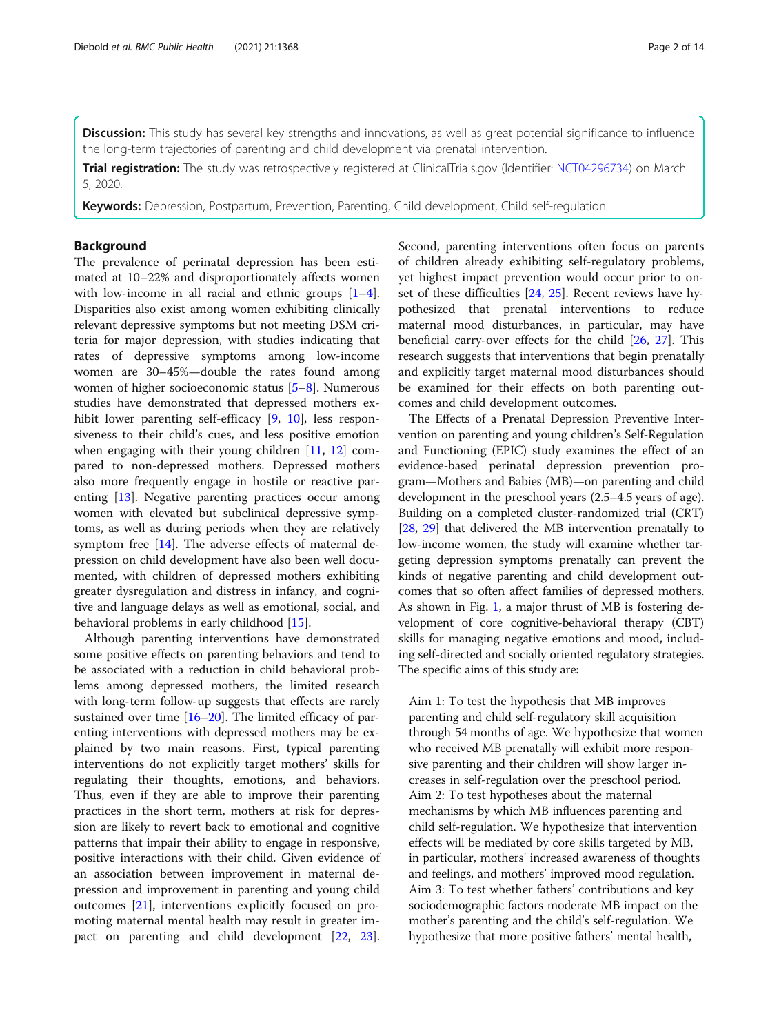Discussion: This study has several key strengths and innovations, as well as great potential significance to influence the long-term trajectories of parenting and child development via prenatal intervention.

Trial registration: The study was retrospectively registered at ClinicalTrials.gov (Identifier: [NCT04296734\)](https://clinicaltrials.gov/ct2/show/NCT04296734) on March 5, 2020.

Keywords: Depression, Postpartum, Prevention, Parenting, Child development, Child self-regulation

#### Background

The prevalence of perinatal depression has been estimated at 10–22% and disproportionately affects women with low-income in all racial and ethnic groups  $[1-4]$  $[1-4]$  $[1-4]$  $[1-4]$ . Disparities also exist among women exhibiting clinically relevant depressive symptoms but not meeting DSM criteria for major depression, with studies indicating that rates of depressive symptoms among low-income women are 30–45%—double the rates found among women of higher socioeconomic status [\[5](#page-12-0)–[8\]](#page-12-0). Numerous studies have demonstrated that depressed mothers exhibit lower parenting self-efficacy [[9,](#page-12-0) [10](#page-12-0)], less responsiveness to their child's cues, and less positive emotion when engaging with their young children [[11,](#page-12-0) [12](#page-12-0)] compared to non-depressed mothers. Depressed mothers also more frequently engage in hostile or reactive parenting [\[13](#page-12-0)]. Negative parenting practices occur among women with elevated but subclinical depressive symptoms, as well as during periods when they are relatively symptom free [\[14](#page-12-0)]. The adverse effects of maternal depression on child development have also been well documented, with children of depressed mothers exhibiting greater dysregulation and distress in infancy, and cognitive and language delays as well as emotional, social, and behavioral problems in early childhood [[15\]](#page-12-0).

Although parenting interventions have demonstrated some positive effects on parenting behaviors and tend to be associated with a reduction in child behavioral problems among depressed mothers, the limited research with long-term follow-up suggests that effects are rarely sustained over time [[16](#page-12-0)–[20](#page-12-0)]. The limited efficacy of parenting interventions with depressed mothers may be explained by two main reasons. First, typical parenting interventions do not explicitly target mothers' skills for regulating their thoughts, emotions, and behaviors. Thus, even if they are able to improve their parenting practices in the short term, mothers at risk for depression are likely to revert back to emotional and cognitive patterns that impair their ability to engage in responsive, positive interactions with their child. Given evidence of an association between improvement in maternal depression and improvement in parenting and young child outcomes [[21\]](#page-12-0), interventions explicitly focused on promoting maternal mental health may result in greater impact on parenting and child development [\[22](#page-12-0), [23](#page-12-0)]. Second, parenting interventions often focus on parents of children already exhibiting self-regulatory problems, yet highest impact prevention would occur prior to onset of these difficulties [\[24](#page-12-0), [25\]](#page-12-0). Recent reviews have hypothesized that prenatal interventions to reduce maternal mood disturbances, in particular, may have beneficial carry-over effects for the child [[26](#page-12-0), [27\]](#page-12-0). This research suggests that interventions that begin prenatally and explicitly target maternal mood disturbances should be examined for their effects on both parenting outcomes and child development outcomes.

The Effects of a Prenatal Depression Preventive Intervention on parenting and young children's Self-Regulation and Functioning (EPIC) study examines the effect of an evidence-based perinatal depression prevention program—Mothers and Babies (MB)—on parenting and child development in the preschool years (2.5–4.5 years of age). Building on a completed cluster-randomized trial (CRT) [[28](#page-12-0), [29](#page-12-0)] that delivered the MB intervention prenatally to low-income women, the study will examine whether targeting depression symptoms prenatally can prevent the kinds of negative parenting and child development outcomes that so often affect families of depressed mothers. As shown in Fig. [1](#page-2-0), a major thrust of MB is fostering development of core cognitive-behavioral therapy (CBT) skills for managing negative emotions and mood, including self-directed and socially oriented regulatory strategies. The specific aims of this study are:

Aim 1: To test the hypothesis that MB improves parenting and child self-regulatory skill acquisition through 54 months of age. We hypothesize that women who received MB prenatally will exhibit more responsive parenting and their children will show larger increases in self-regulation over the preschool period. Aim 2: To test hypotheses about the maternal mechanisms by which MB influences parenting and child self-regulation. We hypothesize that intervention effects will be mediated by core skills targeted by MB, in particular, mothers' increased awareness of thoughts and feelings, and mothers' improved mood regulation. Aim 3: To test whether fathers' contributions and key sociodemographic factors moderate MB impact on the mother's parenting and the child's self-regulation. We hypothesize that more positive fathers' mental health,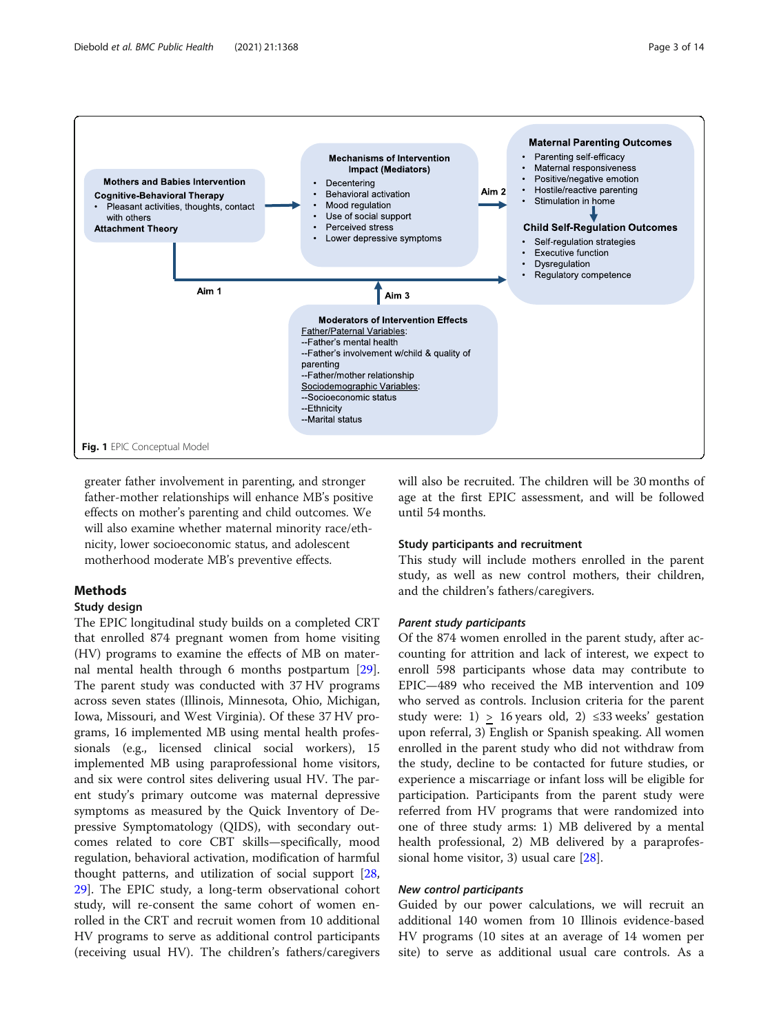<span id="page-2-0"></span>

greater father involvement in parenting, and stronger father-mother relationships will enhance MB's positive effects on mother's parenting and child outcomes. We will also examine whether maternal minority race/ethnicity, lower socioeconomic status, and adolescent motherhood moderate MB's preventive effects.

### **Methods**

#### Study design

The EPIC longitudinal study builds on a completed CRT that enrolled 874 pregnant women from home visiting (HV) programs to examine the effects of MB on maternal mental health through 6 months postpartum [\[29](#page-12-0)]. The parent study was conducted with 37 HV programs across seven states (Illinois, Minnesota, Ohio, Michigan, Iowa, Missouri, and West Virginia). Of these 37 HV programs, 16 implemented MB using mental health professionals (e.g., licensed clinical social workers), 15 implemented MB using paraprofessional home visitors, and six were control sites delivering usual HV. The parent study's primary outcome was maternal depressive symptoms as measured by the Quick Inventory of Depressive Symptomatology (QIDS), with secondary outcomes related to core CBT skills—specifically, mood regulation, behavioral activation, modification of harmful thought patterns, and utilization of social support [[28](#page-12-0), [29\]](#page-12-0). The EPIC study, a long-term observational cohort study, will re-consent the same cohort of women enrolled in the CRT and recruit women from 10 additional HV programs to serve as additional control participants (receiving usual HV). The children's fathers/caregivers will also be recruited. The children will be 30 months of age at the first EPIC assessment, and will be followed until 54 months.

#### Study participants and recruitment

This study will include mothers enrolled in the parent study, as well as new control mothers, their children, and the children's fathers/caregivers.

#### Parent study participants

Of the 874 women enrolled in the parent study, after accounting for attrition and lack of interest, we expect to enroll 598 participants whose data may contribute to EPIC—489 who received the MB intervention and 109 who served as controls. Inclusion criteria for the parent study were:  $1$ ) > 16 years old,  $2$ ) ≤33 weeks' gestation upon referral, 3) English or Spanish speaking. All women enrolled in the parent study who did not withdraw from the study, decline to be contacted for future studies, or experience a miscarriage or infant loss will be eligible for participation. Participants from the parent study were referred from HV programs that were randomized into one of three study arms: 1) MB delivered by a mental health professional, 2) MB delivered by a paraprofessional home visitor, 3) usual care [\[28](#page-12-0)].

#### New control participants

Guided by our power calculations, we will recruit an additional 140 women from 10 Illinois evidence-based HV programs (10 sites at an average of 14 women per site) to serve as additional usual care controls. As a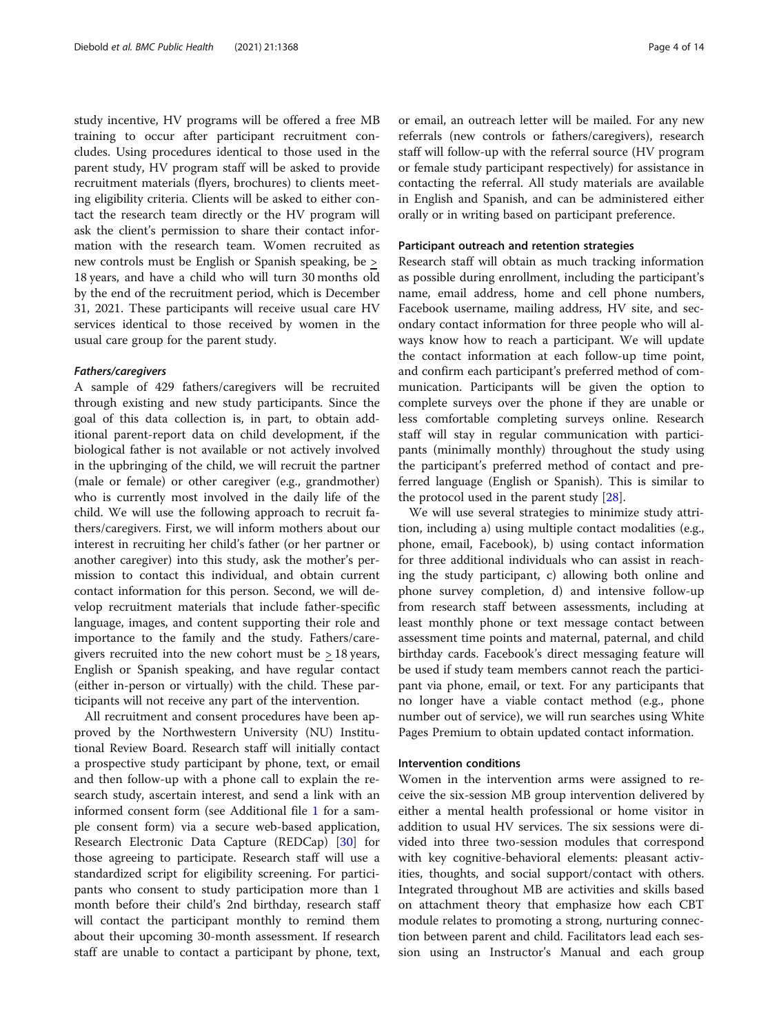study incentive, HV programs will be offered a free MB training to occur after participant recruitment concludes. Using procedures identical to those used in the parent study, HV program staff will be asked to provide recruitment materials (flyers, brochures) to clients meeting eligibility criteria. Clients will be asked to either contact the research team directly or the HV program will ask the client's permission to share their contact information with the research team. Women recruited as new controls must be English or Spanish speaking, be > 18 years, and have a child who will turn 30 months old by the end of the recruitment period, which is December 31, 2021. These participants will receive usual care HV services identical to those received by women in the usual care group for the parent study.

#### Fathers/caregivers

A sample of 429 fathers/caregivers will be recruited through existing and new study participants. Since the goal of this data collection is, in part, to obtain additional parent-report data on child development, if the biological father is not available or not actively involved in the upbringing of the child, we will recruit the partner (male or female) or other caregiver (e.g., grandmother) who is currently most involved in the daily life of the child. We will use the following approach to recruit fathers/caregivers. First, we will inform mothers about our interest in recruiting her child's father (or her partner or another caregiver) into this study, ask the mother's permission to contact this individual, and obtain current contact information for this person. Second, we will develop recruitment materials that include father-specific language, images, and content supporting their role and importance to the family and the study. Fathers/caregivers recruited into the new cohort must be > 18 years, English or Spanish speaking, and have regular contact (either in-person or virtually) with the child. These participants will not receive any part of the intervention.

All recruitment and consent procedures have been approved by the Northwestern University (NU) Institutional Review Board. Research staff will initially contact a prospective study participant by phone, text, or email and then follow-up with a phone call to explain the research study, ascertain interest, and send a link with an informed consent form (see Additional file [1](#page-11-0) for a sample consent form) via a secure web-based application, Research Electronic Data Capture (REDCap) [\[30\]](#page-12-0) for those agreeing to participate. Research staff will use a standardized script for eligibility screening. For participants who consent to study participation more than 1 month before their child's 2nd birthday, research staff will contact the participant monthly to remind them about their upcoming 30-month assessment. If research staff are unable to contact a participant by phone, text, or email, an outreach letter will be mailed. For any new referrals (new controls or fathers/caregivers), research staff will follow-up with the referral source (HV program or female study participant respectively) for assistance in contacting the referral. All study materials are available in English and Spanish, and can be administered either orally or in writing based on participant preference.

#### Participant outreach and retention strategies

Research staff will obtain as much tracking information as possible during enrollment, including the participant's name, email address, home and cell phone numbers, Facebook username, mailing address, HV site, and secondary contact information for three people who will always know how to reach a participant. We will update the contact information at each follow-up time point, and confirm each participant's preferred method of communication. Participants will be given the option to complete surveys over the phone if they are unable or less comfortable completing surveys online. Research staff will stay in regular communication with participants (minimally monthly) throughout the study using the participant's preferred method of contact and preferred language (English or Spanish). This is similar to the protocol used in the parent study [\[28](#page-12-0)].

We will use several strategies to minimize study attrition, including a) using multiple contact modalities (e.g., phone, email, Facebook), b) using contact information for three additional individuals who can assist in reaching the study participant, c) allowing both online and phone survey completion, d) and intensive follow-up from research staff between assessments, including at least monthly phone or text message contact between assessment time points and maternal, paternal, and child birthday cards. Facebook's direct messaging feature will be used if study team members cannot reach the participant via phone, email, or text. For any participants that no longer have a viable contact method (e.g., phone number out of service), we will run searches using White Pages Premium to obtain updated contact information.

#### Intervention conditions

Women in the intervention arms were assigned to receive the six-session MB group intervention delivered by either a mental health professional or home visitor in addition to usual HV services. The six sessions were divided into three two-session modules that correspond with key cognitive-behavioral elements: pleasant activities, thoughts, and social support/contact with others. Integrated throughout MB are activities and skills based on attachment theory that emphasize how each CBT module relates to promoting a strong, nurturing connection between parent and child. Facilitators lead each session using an Instructor's Manual and each group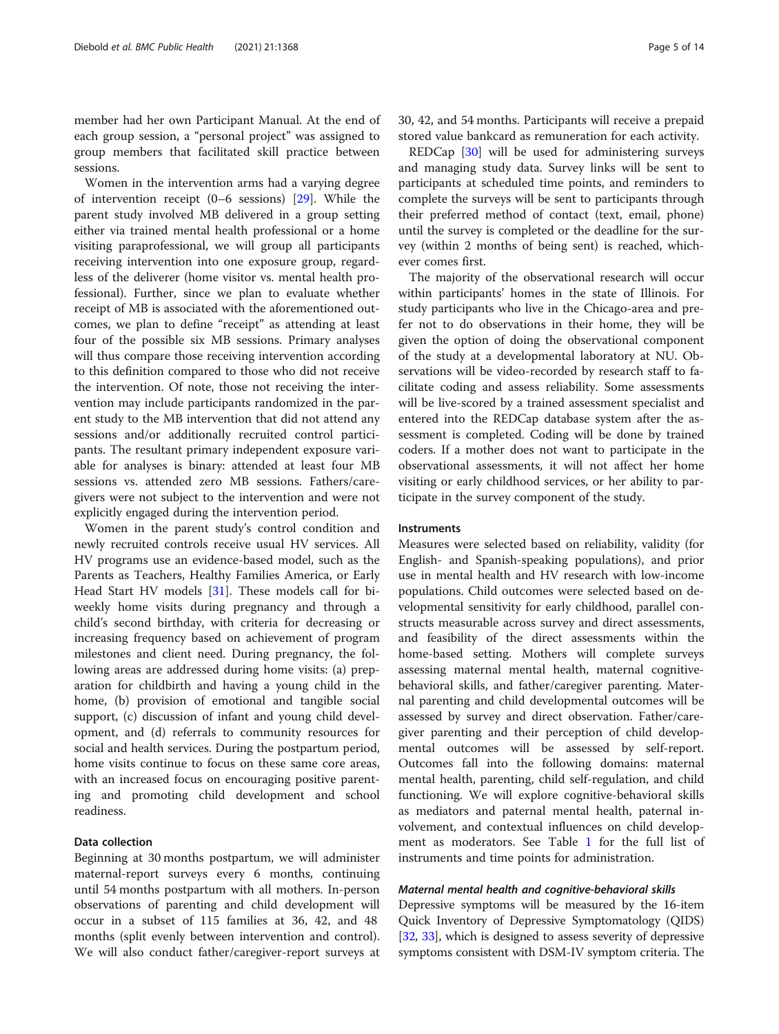member had her own Participant Manual. At the end of each group session, a "personal project" was assigned to group members that facilitated skill practice between sessions.

Women in the intervention arms had a varying degree of intervention receipt (0–6 sessions) [\[29\]](#page-12-0). While the parent study involved MB delivered in a group setting either via trained mental health professional or a home visiting paraprofessional, we will group all participants receiving intervention into one exposure group, regardless of the deliverer (home visitor vs. mental health professional). Further, since we plan to evaluate whether receipt of MB is associated with the aforementioned outcomes, we plan to define "receipt" as attending at least four of the possible six MB sessions. Primary analyses will thus compare those receiving intervention according to this definition compared to those who did not receive the intervention. Of note, those not receiving the intervention may include participants randomized in the parent study to the MB intervention that did not attend any sessions and/or additionally recruited control participants. The resultant primary independent exposure variable for analyses is binary: attended at least four MB sessions vs. attended zero MB sessions. Fathers/caregivers were not subject to the intervention and were not explicitly engaged during the intervention period.

Women in the parent study's control condition and newly recruited controls receive usual HV services. All HV programs use an evidence-based model, such as the Parents as Teachers, Healthy Families America, or Early Head Start HV models [\[31](#page-12-0)]. These models call for biweekly home visits during pregnancy and through a child's second birthday, with criteria for decreasing or increasing frequency based on achievement of program milestones and client need. During pregnancy, the following areas are addressed during home visits: (a) preparation for childbirth and having a young child in the home, (b) provision of emotional and tangible social support, (c) discussion of infant and young child development, and (d) referrals to community resources for social and health services. During the postpartum period, home visits continue to focus on these same core areas, with an increased focus on encouraging positive parenting and promoting child development and school readiness.

#### Data collection

Beginning at 30 months postpartum, we will administer maternal-report surveys every 6 months, continuing until 54 months postpartum with all mothers. In-person observations of parenting and child development will occur in a subset of 115 families at 36, 42, and 48 months (split evenly between intervention and control). We will also conduct father/caregiver-report surveys at 30, 42, and 54 months. Participants will receive a prepaid stored value bankcard as remuneration for each activity.

REDCap [[30\]](#page-12-0) will be used for administering surveys and managing study data. Survey links will be sent to participants at scheduled time points, and reminders to complete the surveys will be sent to participants through their preferred method of contact (text, email, phone) until the survey is completed or the deadline for the survey (within 2 months of being sent) is reached, whichever comes first.

The majority of the observational research will occur within participants' homes in the state of Illinois. For study participants who live in the Chicago-area and prefer not to do observations in their home, they will be given the option of doing the observational component of the study at a developmental laboratory at NU. Observations will be video-recorded by research staff to facilitate coding and assess reliability. Some assessments will be live-scored by a trained assessment specialist and entered into the REDCap database system after the assessment is completed. Coding will be done by trained coders. If a mother does not want to participate in the observational assessments, it will not affect her home visiting or early childhood services, or her ability to participate in the survey component of the study.

#### Instruments

Measures were selected based on reliability, validity (for English- and Spanish-speaking populations), and prior use in mental health and HV research with low-income populations. Child outcomes were selected based on developmental sensitivity for early childhood, parallel constructs measurable across survey and direct assessments, and feasibility of the direct assessments within the home-based setting. Mothers will complete surveys assessing maternal mental health, maternal cognitivebehavioral skills, and father/caregiver parenting. Maternal parenting and child developmental outcomes will be assessed by survey and direct observation. Father/caregiver parenting and their perception of child developmental outcomes will be assessed by self-report. Outcomes fall into the following domains: maternal mental health, parenting, child self-regulation, and child functioning. We will explore cognitive-behavioral skills as mediators and paternal mental health, paternal involvement, and contextual influences on child development as moderators. See Table [1](#page-5-0) for the full list of instruments and time points for administration.

#### Maternal mental health and cognitive-behavioral skills

Depressive symptoms will be measured by the 16-item Quick Inventory of Depressive Symptomatology (QIDS) [[32](#page-12-0), [33](#page-12-0)], which is designed to assess severity of depressive symptoms consistent with DSM-IV symptom criteria. The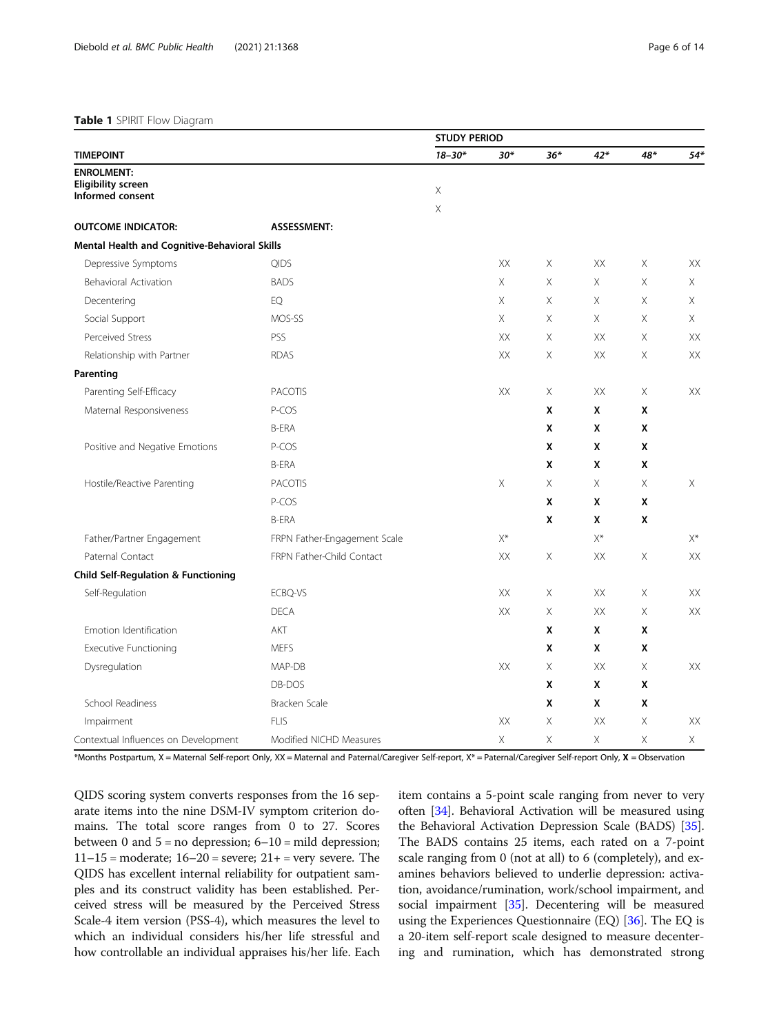#### <span id="page-5-0"></span>Table 1 SPIRIT Flow Diagram

|                                                |                              | <b>STUDY PERIOD</b> |                |          |       |          |          |
|------------------------------------------------|------------------------------|---------------------|----------------|----------|-------|----------|----------|
| <b>TIMEPOINT</b>                               |                              | $18 - 30*$          | $30*$          | $36*$    | $42*$ | 48*      | $54*$    |
| <b>ENROLMENT:</b>                              |                              |                     |                |          |       |          |          |
| <b>Eligibility screen</b><br>Informed consent  |                              | Χ                   |                |          |       |          |          |
|                                                |                              | X                   |                |          |       |          |          |
| <b>OUTCOME INDICATOR:</b>                      | <b>ASSESSMENT:</b>           |                     |                |          |       |          |          |
| Mental Health and Cognitive-Behavioral Skills  |                              |                     |                |          |       |          |          |
| Depressive Symptoms                            | <b>QIDS</b>                  |                     | XX             | Χ        | XX    | Χ        | XX       |
| Behavioral Activation                          | <b>BADS</b>                  |                     | Χ              | Χ        | X     | Χ        | Χ        |
| Decentering                                    | EQ                           |                     | X              | Χ        | X     | Χ        | $\times$ |
| Social Support                                 | MOS-SS                       |                     | X              | $\times$ | X     | $\times$ | $\times$ |
| Perceived Stress                               | PSS                          |                     | XX             | $\times$ | XX    | $\times$ | XX       |
| Relationship with Partner                      | <b>RDAS</b>                  |                     | XX             | Χ        | XX    | Χ        | XX       |
| Parenting                                      |                              |                     |                |          |       |          |          |
| Parenting Self-Efficacy                        | <b>PACOTIS</b>               |                     | XX             | $\times$ | XX    | X        | XX       |
| Maternal Responsiveness                        | P-COS                        |                     |                | X        | X     | X        |          |
|                                                | <b>B-ERA</b>                 |                     |                | x        | X     | x        |          |
| Positive and Negative Emotions                 | P-COS                        |                     |                | x        | X     | X        |          |
|                                                | <b>B-ERA</b>                 |                     |                | X        | X     | X        |          |
| Hostile/Reactive Parenting                     | <b>PACOTIS</b>               |                     | X              | X        | X     | $\times$ | X        |
|                                                | P-COS                        |                     |                | X        | X     | X        |          |
|                                                | <b>B-ERA</b>                 |                     |                | X        | X     | X        |          |
| Father/Partner Engagement                      | FRPN Father-Engagement Scale |                     | X <sup>*</sup> |          | $X^*$ |          | $X^*$    |
| Paternal Contact                               | FRPN Father-Child Contact    |                     | XX             | X        | XX    | X        | XX       |
| <b>Child Self-Regulation &amp; Functioning</b> |                              |                     |                |          |       |          |          |
| Self-Regulation                                | ECBQ-VS                      |                     | XХ             | Χ        | XX    | Χ        | XX       |
|                                                | <b>DECA</b>                  |                     | XX             | Χ        | XX    | Χ        | XX       |
| Emotion Identification                         | AKT                          |                     |                | X        | X     | X        |          |
| <b>Executive Functioning</b>                   | <b>MEFS</b>                  |                     |                | X        | X     | X        |          |
| Dysregulation                                  | MAP-DB                       |                     | XX             | X        | XX    | X        | XX       |
|                                                | DB-DOS                       |                     |                | x        | X     | X        |          |
| School Readiness                               | Bracken Scale                |                     |                | X        | X     | X        |          |
| Impairment                                     | <b>FLIS</b>                  |                     | XX             | Χ        | XX    | Χ        | XX       |
| Contextual Influences on Development           | Modified NICHD Measures      |                     | Χ              | Χ        | X     | Χ        | X        |

\*Months Postpartum, X = Maternal Self-report Only, XX = Maternal and Paternal/Caregiver Self-report, X\* = Paternal/Caregiver Self-report Only, X = Observation

QIDS scoring system converts responses from the 16 separate items into the nine DSM-IV symptom criterion domains. The total score ranges from 0 to 27. Scores between 0 and  $5 = no$  depression;  $6 - 10 = 10$  depression;  $11-15$  = moderate;  $16-20$  = severe;  $21+$  = very severe. The QIDS has excellent internal reliability for outpatient samples and its construct validity has been established. Perceived stress will be measured by the Perceived Stress Scale-4 item version (PSS-4), which measures the level to which an individual considers his/her life stressful and how controllable an individual appraises his/her life. Each item contains a 5-point scale ranging from never to very often [\[34](#page-12-0)]. Behavioral Activation will be measured using the Behavioral Activation Depression Scale (BADS) [[35](#page-12-0)]. The BADS contains 25 items, each rated on a 7-point scale ranging from 0 (not at all) to 6 (completely), and examines behaviors believed to underlie depression: activation, avoidance/rumination, work/school impairment, and social impairment [[35\]](#page-12-0). Decentering will be measured using the Experiences Questionnaire  $(EQ)$  [[36](#page-12-0)]. The EQ is a 20-item self-report scale designed to measure decentering and rumination, which has demonstrated strong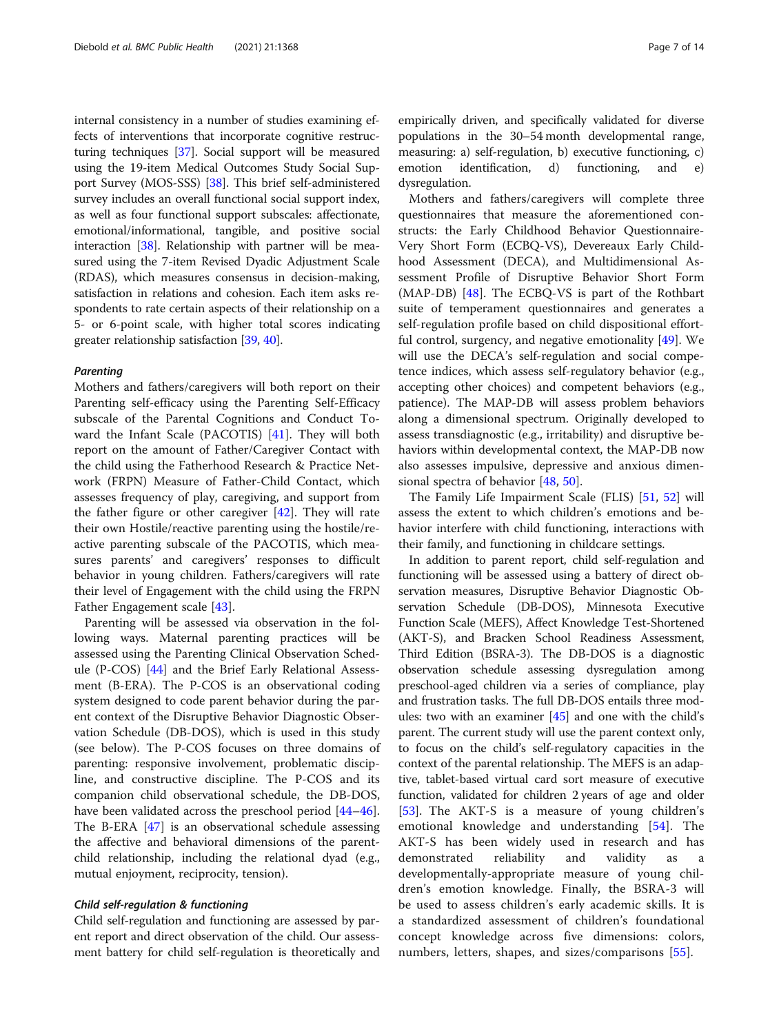internal consistency in a number of studies examining effects of interventions that incorporate cognitive restructuring techniques [\[37\]](#page-13-0). Social support will be measured using the 19-item Medical Outcomes Study Social Support Survey (MOS-SSS) [\[38\]](#page-13-0). This brief self-administered survey includes an overall functional social support index, as well as four functional support subscales: affectionate, emotional/informational, tangible, and positive social interaction [[38](#page-13-0)]. Relationship with partner will be measured using the 7-item Revised Dyadic Adjustment Scale (RDAS), which measures consensus in decision-making, satisfaction in relations and cohesion. Each item asks respondents to rate certain aspects of their relationship on a 5- or 6-point scale, with higher total scores indicating greater relationship satisfaction [\[39,](#page-13-0) [40](#page-13-0)].

#### **Parenting**

Mothers and fathers/caregivers will both report on their Parenting self-efficacy using the Parenting Self-Efficacy subscale of the Parental Cognitions and Conduct Toward the Infant Scale (PACOTIS) [\[41](#page-13-0)]. They will both report on the amount of Father/Caregiver Contact with the child using the Fatherhood Research & Practice Network (FRPN) Measure of Father-Child Contact, which assesses frequency of play, caregiving, and support from the father figure or other caregiver [\[42\]](#page-13-0). They will rate their own Hostile/reactive parenting using the hostile/reactive parenting subscale of the PACOTIS, which measures parents' and caregivers' responses to difficult behavior in young children. Fathers/caregivers will rate their level of Engagement with the child using the FRPN Father Engagement scale [[43](#page-13-0)].

Parenting will be assessed via observation in the following ways. Maternal parenting practices will be assessed using the Parenting Clinical Observation Schedule (P-COS) [[44\]](#page-13-0) and the Brief Early Relational Assessment (B-ERA). The P-COS is an observational coding system designed to code parent behavior during the parent context of the Disruptive Behavior Diagnostic Observation Schedule (DB-DOS), which is used in this study (see below). The P-COS focuses on three domains of parenting: responsive involvement, problematic discipline, and constructive discipline. The P-COS and its companion child observational schedule, the DB-DOS, have been validated across the preschool period [[44](#page-13-0)–[46](#page-13-0)]. The B-ERA [[47\]](#page-13-0) is an observational schedule assessing the affective and behavioral dimensions of the parentchild relationship, including the relational dyad (e.g., mutual enjoyment, reciprocity, tension).

#### Child self-regulation & functioning

Child self-regulation and functioning are assessed by parent report and direct observation of the child. Our assessment battery for child self-regulation is theoretically and empirically driven, and specifically validated for diverse populations in the 30–54 month developmental range, measuring: a) self-regulation, b) executive functioning, c) emotion identification, d) functioning, and e) dysregulation.

Mothers and fathers/caregivers will complete three questionnaires that measure the aforementioned constructs: the Early Childhood Behavior Questionnaire-Very Short Form (ECBQ-VS), Devereaux Early Childhood Assessment (DECA), and Multidimensional Assessment Profile of Disruptive Behavior Short Form (MAP-DB) [[48](#page-13-0)]. The ECBQ-VS is part of the Rothbart suite of temperament questionnaires and generates a self-regulation profile based on child dispositional effortful control, surgency, and negative emotionality  $[49]$ . We will use the DECA's self-regulation and social competence indices, which assess self-regulatory behavior (e.g., accepting other choices) and competent behaviors (e.g., patience). The MAP-DB will assess problem behaviors along a dimensional spectrum. Originally developed to assess transdiagnostic (e.g., irritability) and disruptive behaviors within developmental context, the MAP-DB now also assesses impulsive, depressive and anxious dimensional spectra of behavior [[48](#page-13-0), [50](#page-13-0)].

The Family Life Impairment Scale (FLIS) [[51](#page-13-0), [52](#page-13-0)] will assess the extent to which children's emotions and behavior interfere with child functioning, interactions with their family, and functioning in childcare settings.

In addition to parent report, child self-regulation and functioning will be assessed using a battery of direct observation measures, Disruptive Behavior Diagnostic Observation Schedule (DB-DOS), Minnesota Executive Function Scale (MEFS), Affect Knowledge Test-Shortened (AKT-S), and Bracken School Readiness Assessment, Third Edition (BSRA-3). The DB-DOS is a diagnostic observation schedule assessing dysregulation among preschool-aged children via a series of compliance, play and frustration tasks. The full DB-DOS entails three modules: two with an examiner [[45\]](#page-13-0) and one with the child's parent. The current study will use the parent context only, to focus on the child's self-regulatory capacities in the context of the parental relationship. The MEFS is an adaptive, tablet-based virtual card sort measure of executive function, validated for children 2 years of age and older [[53](#page-13-0)]. The AKT-S is a measure of young children's emotional knowledge and understanding [[54](#page-13-0)]. The AKT-S has been widely used in research and has demonstrated reliability and validity as a developmentally-appropriate measure of young children's emotion knowledge. Finally, the BSRA-3 will be used to assess children's early academic skills. It is a standardized assessment of children's foundational concept knowledge across five dimensions: colors, numbers, letters, shapes, and sizes/comparisons [[55\]](#page-13-0).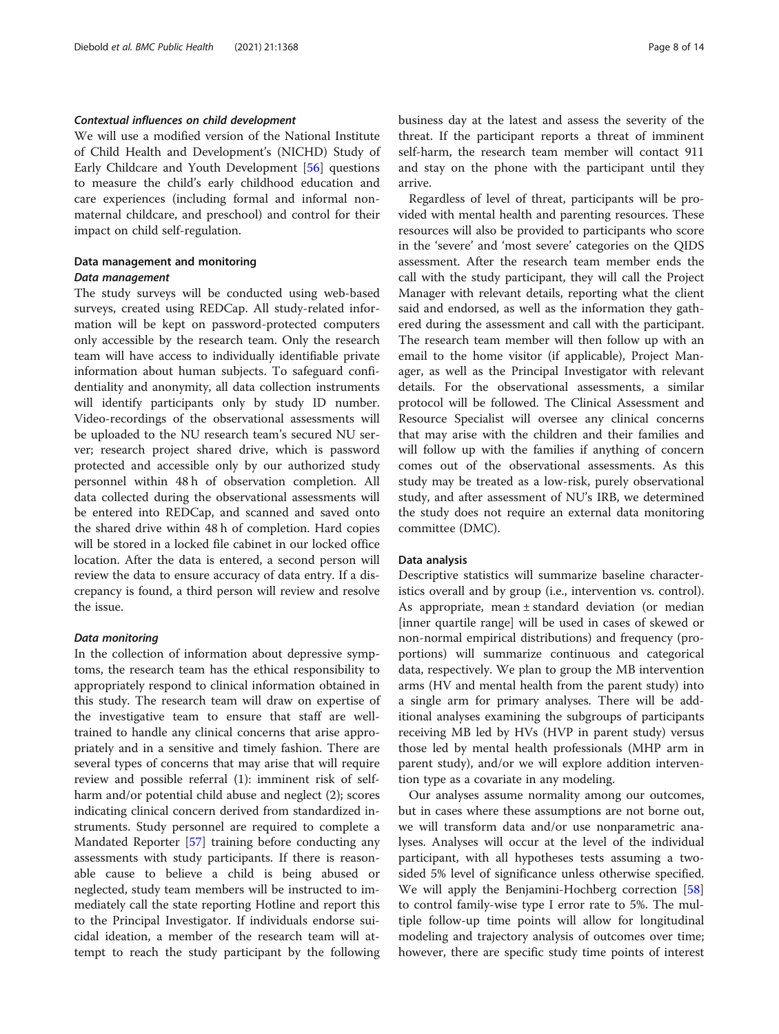#### Contextual influences on child development

We will use a modified version of the National Institute of Child Health and Development's (NICHD) Study of Early Childcare and Youth Development [[56\]](#page-13-0) questions to measure the child's early childhood education and care experiences (including formal and informal nonmaternal childcare, and preschool) and control for their impact on child self-regulation.

## Data management and monitoring Data management

The study surveys will be conducted using web-based surveys, created using REDCap. All study-related information will be kept on password-protected computers only accessible by the research team. Only the research team will have access to individually identifiable private information about human subjects. To safeguard confidentiality and anonymity, all data collection instruments will identify participants only by study ID number. Video-recordings of the observational assessments will be uploaded to the NU research team's secured NU server; research project shared drive, which is password protected and accessible only by our authorized study personnel within 48 h of observation completion. All data collected during the observational assessments will be entered into REDCap, and scanned and saved onto the shared drive within 48 h of completion. Hard copies will be stored in a locked file cabinet in our locked office location. After the data is entered, a second person will review the data to ensure accuracy of data entry. If a discrepancy is found, a third person will review and resolve the issue.

#### Data monitoring

In the collection of information about depressive symptoms, the research team has the ethical responsibility to appropriately respond to clinical information obtained in this study. The research team will draw on expertise of the investigative team to ensure that staff are welltrained to handle any clinical concerns that arise appropriately and in a sensitive and timely fashion. There are several types of concerns that may arise that will require review and possible referral (1): imminent risk of selfharm and/or potential child abuse and neglect (2); scores indicating clinical concern derived from standardized instruments. Study personnel are required to complete a Mandated Reporter [[57](#page-13-0)] training before conducting any assessments with study participants. If there is reasonable cause to believe a child is being abused or neglected, study team members will be instructed to immediately call the state reporting Hotline and report this to the Principal Investigator. If individuals endorse suicidal ideation, a member of the research team will attempt to reach the study participant by the following business day at the latest and assess the severity of the threat. If the participant reports a threat of imminent self-harm, the research team member will contact 911 and stay on the phone with the participant until they arrive.

Regardless of level of threat, participants will be provided with mental health and parenting resources. These resources will also be provided to participants who score in the 'severe' and 'most severe' categories on the QIDS assessment. After the research team member ends the call with the study participant, they will call the Project Manager with relevant details, reporting what the client said and endorsed, as well as the information they gathered during the assessment and call with the participant. The research team member will then follow up with an email to the home visitor (if applicable), Project Manager, as well as the Principal Investigator with relevant details. For the observational assessments, a similar protocol will be followed. The Clinical Assessment and Resource Specialist will oversee any clinical concerns that may arise with the children and their families and will follow up with the families if anything of concern comes out of the observational assessments. As this study may be treated as a low-risk, purely observational study, and after assessment of NU's IRB, we determined the study does not require an external data monitoring committee (DMC).

#### Data analysis

Descriptive statistics will summarize baseline characteristics overall and by group (i.e., intervention vs. control). As appropriate, mean ± standard deviation (or median [inner quartile range] will be used in cases of skewed or non-normal empirical distributions) and frequency (proportions) will summarize continuous and categorical data, respectively. We plan to group the MB intervention arms (HV and mental health from the parent study) into a single arm for primary analyses. There will be additional analyses examining the subgroups of participants receiving MB led by HVs (HVP in parent study) versus those led by mental health professionals (MHP arm in parent study), and/or we will explore addition intervention type as a covariate in any modeling.

Our analyses assume normality among our outcomes, but in cases where these assumptions are not borne out, we will transform data and/or use nonparametric analyses. Analyses will occur at the level of the individual participant, with all hypotheses tests assuming a twosided 5% level of significance unless otherwise specified. We will apply the Benjamini-Hochberg correction [[58](#page-13-0)] to control family-wise type I error rate to 5%. The multiple follow-up time points will allow for longitudinal modeling and trajectory analysis of outcomes over time; however, there are specific study time points of interest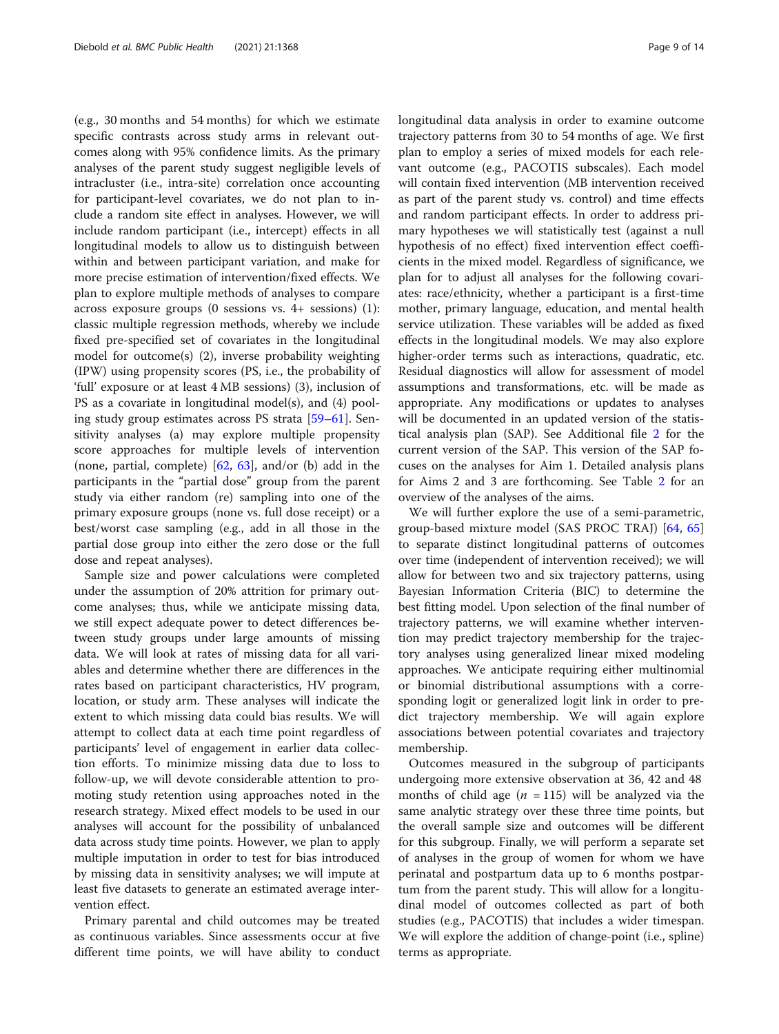(e.g., 30 months and 54 months) for which we estimate specific contrasts across study arms in relevant outcomes along with 95% confidence limits. As the primary analyses of the parent study suggest negligible levels of intracluster (i.e., intra-site) correlation once accounting for participant-level covariates, we do not plan to include a random site effect in analyses. However, we will include random participant (i.e., intercept) effects in all longitudinal models to allow us to distinguish between within and between participant variation, and make for more precise estimation of intervention/fixed effects. We plan to explore multiple methods of analyses to compare across exposure groups (0 sessions vs. 4+ sessions) (1): classic multiple regression methods, whereby we include fixed pre-specified set of covariates in the longitudinal model for outcome(s) (2), inverse probability weighting (IPW) using propensity scores (PS, i.e., the probability of 'full' exposure or at least 4 MB sessions) (3), inclusion of PS as a covariate in longitudinal model(s), and (4) pooling study group estimates across PS strata [[59](#page-13-0)–[61\]](#page-13-0). Sensitivity analyses (a) may explore multiple propensity score approaches for multiple levels of intervention (none, partial, complete) [[62,](#page-13-0) [63](#page-13-0)], and/or (b) add in the participants in the "partial dose" group from the parent study via either random (re) sampling into one of the primary exposure groups (none vs. full dose receipt) or a best/worst case sampling (e.g., add in all those in the partial dose group into either the zero dose or the full dose and repeat analyses).

Sample size and power calculations were completed under the assumption of 20% attrition for primary outcome analyses; thus, while we anticipate missing data, we still expect adequate power to detect differences between study groups under large amounts of missing data. We will look at rates of missing data for all variables and determine whether there are differences in the rates based on participant characteristics, HV program, location, or study arm. These analyses will indicate the extent to which missing data could bias results. We will attempt to collect data at each time point regardless of participants' level of engagement in earlier data collection efforts. To minimize missing data due to loss to follow-up, we will devote considerable attention to promoting study retention using approaches noted in the research strategy. Mixed effect models to be used in our analyses will account for the possibility of unbalanced data across study time points. However, we plan to apply multiple imputation in order to test for bias introduced by missing data in sensitivity analyses; we will impute at least five datasets to generate an estimated average intervention effect.

Primary parental and child outcomes may be treated as continuous variables. Since assessments occur at five different time points, we will have ability to conduct longitudinal data analysis in order to examine outcome trajectory patterns from 30 to 54 months of age. We first plan to employ a series of mixed models for each relevant outcome (e.g., PACOTIS subscales). Each model will contain fixed intervention (MB intervention received as part of the parent study vs. control) and time effects and random participant effects. In order to address primary hypotheses we will statistically test (against a null hypothesis of no effect) fixed intervention effect coefficients in the mixed model. Regardless of significance, we plan for to adjust all analyses for the following covariates: race/ethnicity, whether a participant is a first-time mother, primary language, education, and mental health service utilization. These variables will be added as fixed effects in the longitudinal models. We may also explore higher-order terms such as interactions, quadratic, etc. Residual diagnostics will allow for assessment of model assumptions and transformations, etc. will be made as appropriate. Any modifications or updates to analyses will be documented in an updated version of the statistical analysis plan (SAP). See Additional file [2](#page-11-0) for the current version of the SAP. This version of the SAP focuses on the analyses for Aim 1. Detailed analysis plans for Aims 2 and 3 are forthcoming. See Table [2](#page-9-0) for an overview of the analyses of the aims.

We will further explore the use of a semi-parametric, group-based mixture model (SAS PROC TRAJ) [[64,](#page-13-0) [65](#page-13-0)] to separate distinct longitudinal patterns of outcomes over time (independent of intervention received); we will allow for between two and six trajectory patterns, using Bayesian Information Criteria (BIC) to determine the best fitting model. Upon selection of the final number of trajectory patterns, we will examine whether intervention may predict trajectory membership for the trajectory analyses using generalized linear mixed modeling approaches. We anticipate requiring either multinomial or binomial distributional assumptions with a corresponding logit or generalized logit link in order to predict trajectory membership. We will again explore associations between potential covariates and trajectory membership.

Outcomes measured in the subgroup of participants undergoing more extensive observation at 36, 42 and 48 months of child age ( $n = 115$ ) will be analyzed via the same analytic strategy over these three time points, but the overall sample size and outcomes will be different for this subgroup. Finally, we will perform a separate set of analyses in the group of women for whom we have perinatal and postpartum data up to 6 months postpartum from the parent study. This will allow for a longitudinal model of outcomes collected as part of both studies (e.g., PACOTIS) that includes a wider timespan. We will explore the addition of change-point (i.e., spline) terms as appropriate.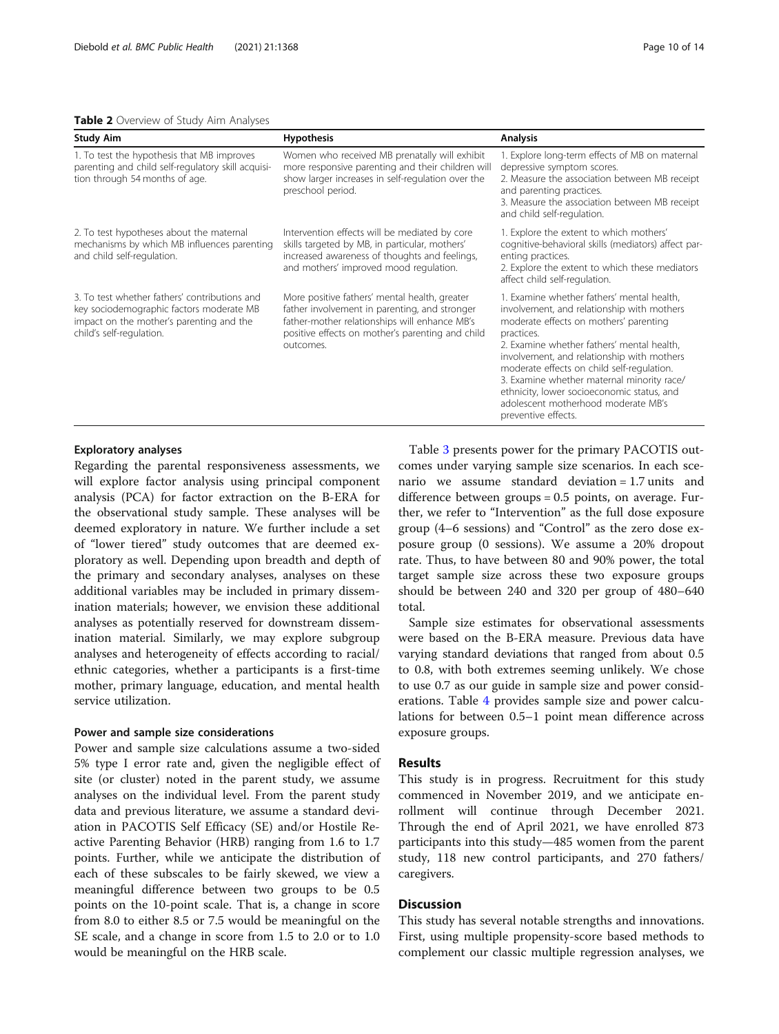#### <span id="page-9-0"></span>Table 2 Overview of Study Aim Analyses

| <b>Study Aim</b>                                                                                                                                                  | <b>Hypothesis</b>                                                                                                                                                                                                | <b>Analysis</b>                                                                                                                                                                                                                                                                                                                                                                                                                                      |
|-------------------------------------------------------------------------------------------------------------------------------------------------------------------|------------------------------------------------------------------------------------------------------------------------------------------------------------------------------------------------------------------|------------------------------------------------------------------------------------------------------------------------------------------------------------------------------------------------------------------------------------------------------------------------------------------------------------------------------------------------------------------------------------------------------------------------------------------------------|
| 1. To test the hypothesis that MB improves<br>parenting and child self-regulatory skill acquisi-<br>tion through 54 months of age.                                | Women who received MB prenatally will exhibit<br>more responsive parenting and their children will<br>show larger increases in self-regulation over the<br>preschool period.                                     | 1. Explore long-term effects of MB on maternal<br>depressive symptom scores.<br>2. Measure the association between MB receipt<br>and parenting practices.<br>3. Measure the association between MB receipt<br>and child self-regulation.                                                                                                                                                                                                             |
| 2. To test hypotheses about the maternal<br>mechanisms by which MB influences parenting<br>and child self-regulation.                                             | Intervention effects will be mediated by core<br>skills targeted by MB, in particular, mothers'<br>increased awareness of thoughts and feelings,<br>and mothers' improved mood regulation.                       | 1. Explore the extent to which mothers'<br>cognitive-behavioral skills (mediators) affect par-<br>enting practices.<br>2. Explore the extent to which these mediators<br>affect child self-regulation.                                                                                                                                                                                                                                               |
| 3. To test whether fathers' contributions and<br>key sociodemographic factors moderate MB<br>impact on the mother's parenting and the<br>child's self-regulation. | More positive fathers' mental health, greater<br>father involvement in parenting, and stronger<br>father-mother relationships will enhance MB's<br>positive effects on mother's parenting and child<br>outcomes. | 1. Examine whether fathers' mental health,<br>involvement, and relationship with mothers<br>moderate effects on mothers' parenting<br>practices.<br>2. Examine whether fathers' mental health,<br>involvement, and relationship with mothers<br>moderate effects on child self-regulation.<br>3. Examine whether maternal minority race/<br>ethnicity, lower socioeconomic status, and<br>adolescent motherhood moderate MB's<br>preventive effects. |

#### Exploratory analyses

Regarding the parental responsiveness assessments, we will explore factor analysis using principal component analysis (PCA) for factor extraction on the B-ERA for the observational study sample. These analyses will be deemed exploratory in nature. We further include a set of "lower tiered" study outcomes that are deemed exploratory as well. Depending upon breadth and depth of the primary and secondary analyses, analyses on these additional variables may be included in primary dissemination materials; however, we envision these additional analyses as potentially reserved for downstream dissemination material. Similarly, we may explore subgroup analyses and heterogeneity of effects according to racial/ ethnic categories, whether a participants is a first-time mother, primary language, education, and mental health service utilization.

#### Power and sample size considerations

Power and sample size calculations assume a two-sided 5% type I error rate and, given the negligible effect of site (or cluster) noted in the parent study, we assume analyses on the individual level. From the parent study data and previous literature, we assume a standard deviation in PACOTIS Self Efficacy (SE) and/or Hostile Reactive Parenting Behavior (HRB) ranging from 1.6 to 1.7 points. Further, while we anticipate the distribution of each of these subscales to be fairly skewed, we view a meaningful difference between two groups to be 0.5 points on the 10-point scale. That is, a change in score from 8.0 to either 8.5 or 7.5 would be meaningful on the SE scale, and a change in score from 1.5 to 2.0 or to 1.0 would be meaningful on the HRB scale.

Table [3](#page-10-0) presents power for the primary PACOTIS outcomes under varying sample size scenarios. In each scenario we assume standard deviation = 1.7 units and difference between groups = 0.5 points, on average. Further, we refer to "Intervention" as the full dose exposure group (4–6 sessions) and "Control" as the zero dose exposure group (0 sessions). We assume a 20% dropout rate. Thus, to have between 80 and 90% power, the total target sample size across these two exposure groups should be between 240 and 320 per group of 480–640 total.

Sample size estimates for observational assessments were based on the B-ERA measure. Previous data have varying standard deviations that ranged from about 0.5 to 0.8, with both extremes seeming unlikely. We chose to use 0.7 as our guide in sample size and power considerations. Table [4](#page-10-0) provides sample size and power calculations for between 0.5–1 point mean difference across exposure groups.

#### Results

This study is in progress. Recruitment for this study commenced in November 2019, and we anticipate enrollment will continue through December 2021. Through the end of April 2021, we have enrolled 873 participants into this study—485 women from the parent study, 118 new control participants, and 270 fathers/ caregivers.

#### Discussion

This study has several notable strengths and innovations. First, using multiple propensity-score based methods to complement our classic multiple regression analyses, we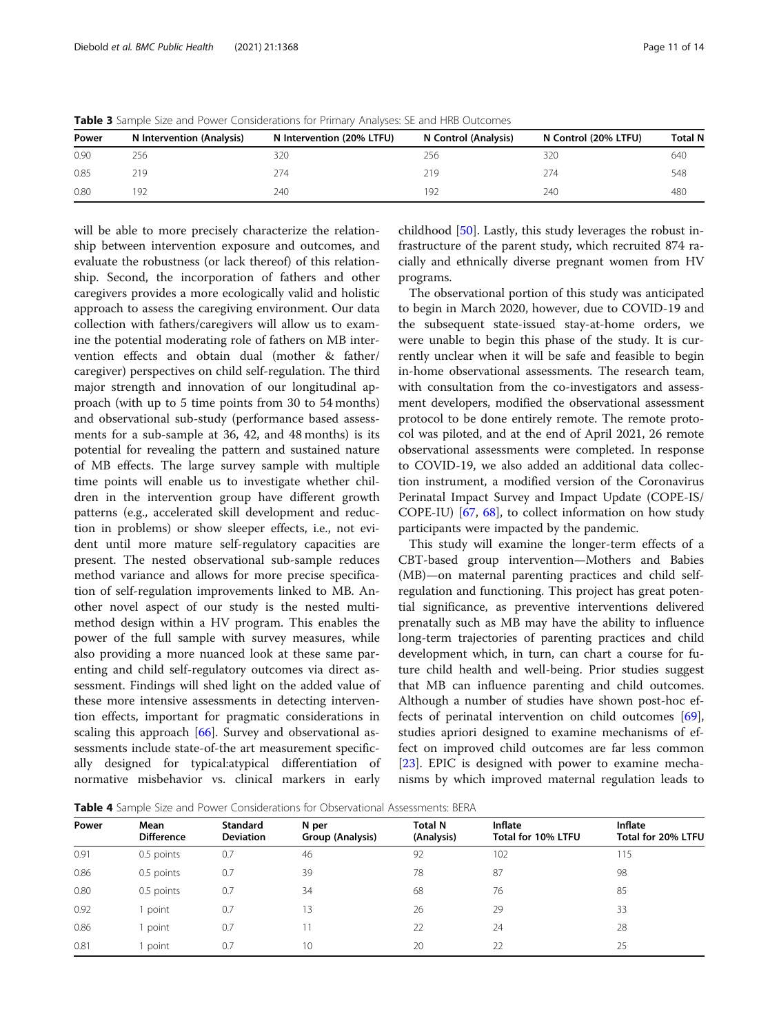| Power | N Intervention (Analysis) | N Intervention (20% LTFU) | N Control (Analysis) | N Control (20% LTFU) | <b>Total N</b> |
|-------|---------------------------|---------------------------|----------------------|----------------------|----------------|
| 0.90  | 256                       | 320                       | 256                  | 320                  | 640            |
| 0.85  | 219                       | 274                       | 219                  | 274                  | 548            |
| 0.80  | 92                        | 240                       | 192                  | 740                  | 480            |

<span id="page-10-0"></span>Table 3 Sample Size and Power Considerations for Primary Analyses: SE and HRB Outcomes

will be able to more precisely characterize the relationship between intervention exposure and outcomes, and evaluate the robustness (or lack thereof) of this relationship. Second, the incorporation of fathers and other caregivers provides a more ecologically valid and holistic approach to assess the caregiving environment. Our data collection with fathers/caregivers will allow us to examine the potential moderating role of fathers on MB intervention effects and obtain dual (mother & father/ caregiver) perspectives on child self-regulation. The third major strength and innovation of our longitudinal approach (with up to 5 time points from 30 to 54 months) and observational sub-study (performance based assessments for a sub-sample at 36, 42, and 48 months) is its potential for revealing the pattern and sustained nature of MB effects. The large survey sample with multiple time points will enable us to investigate whether children in the intervention group have different growth patterns (e.g., accelerated skill development and reduction in problems) or show sleeper effects, i.e., not evident until more mature self-regulatory capacities are present. The nested observational sub-sample reduces method variance and allows for more precise specification of self-regulation improvements linked to MB. Another novel aspect of our study is the nested multimethod design within a HV program. This enables the power of the full sample with survey measures, while also providing a more nuanced look at these same parenting and child self-regulatory outcomes via direct assessment. Findings will shed light on the added value of these more intensive assessments in detecting intervention effects, important for pragmatic considerations in scaling this approach [[66\]](#page-13-0). Survey and observational assessments include state-of-the art measurement specifically designed for typical:atypical differentiation of normative misbehavior vs. clinical markers in early

childhood [[50\]](#page-13-0). Lastly, this study leverages the robust infrastructure of the parent study, which recruited 874 racially and ethnically diverse pregnant women from HV programs.

The observational portion of this study was anticipated to begin in March 2020, however, due to COVID-19 and the subsequent state-issued stay-at-home orders, we were unable to begin this phase of the study. It is currently unclear when it will be safe and feasible to begin in-home observational assessments. The research team, with consultation from the co-investigators and assessment developers, modified the observational assessment protocol to be done entirely remote. The remote protocol was piloted, and at the end of April 2021, 26 remote observational assessments were completed. In response to COVID-19, we also added an additional data collection instrument, a modified version of the Coronavirus Perinatal Impact Survey and Impact Update (COPE-IS/ COPE-IU) [[67,](#page-13-0) [68](#page-13-0)], to collect information on how study participants were impacted by the pandemic.

This study will examine the longer-term effects of a CBT-based group intervention—Mothers and Babies (MB)—on maternal parenting practices and child selfregulation and functioning. This project has great potential significance, as preventive interventions delivered prenatally such as MB may have the ability to influence long-term trajectories of parenting practices and child development which, in turn, can chart a course for future child health and well-being. Prior studies suggest that MB can influence parenting and child outcomes. Although a number of studies have shown post-hoc effects of perinatal intervention on child outcomes [\[69](#page-13-0)], studies apriori designed to examine mechanisms of effect on improved child outcomes are far less common [[23\]](#page-12-0). EPIC is designed with power to examine mechanisms by which improved maternal regulation leads to

Table 4 Sample Size and Power Considerations for Observational Assessments: BERA

| Power | Mean<br><b>Difference</b> | <b>Standard</b><br><b>Deviation</b> | N per<br>Group (Analysis) | <b>Total N</b><br>(Analysis) | <b>Inflate</b><br>Total for 10% LTFU | Inflate<br>Total for 20% LTFU |  |
|-------|---------------------------|-------------------------------------|---------------------------|------------------------------|--------------------------------------|-------------------------------|--|
| 0.91  | 0.5 points                | 0.7                                 | 46                        | 92                           | 102                                  | 115                           |  |
| 0.86  | 0.5 points                | 0.7                                 | 39                        | 78                           | 87                                   | 98                            |  |
| 0.80  | 0.5 points                | 0.7                                 | 34                        | 68                           | 76                                   | 85                            |  |
| 0.92  | point                     | 0.7                                 | 13                        | 26                           | 29                                   | 33                            |  |
| 0.86  | point                     | 0.7                                 | 11                        | 22                           | 24                                   | 28                            |  |
| 0.81  | point                     | 0.7                                 | 10                        | 20                           | 22                                   | 25                            |  |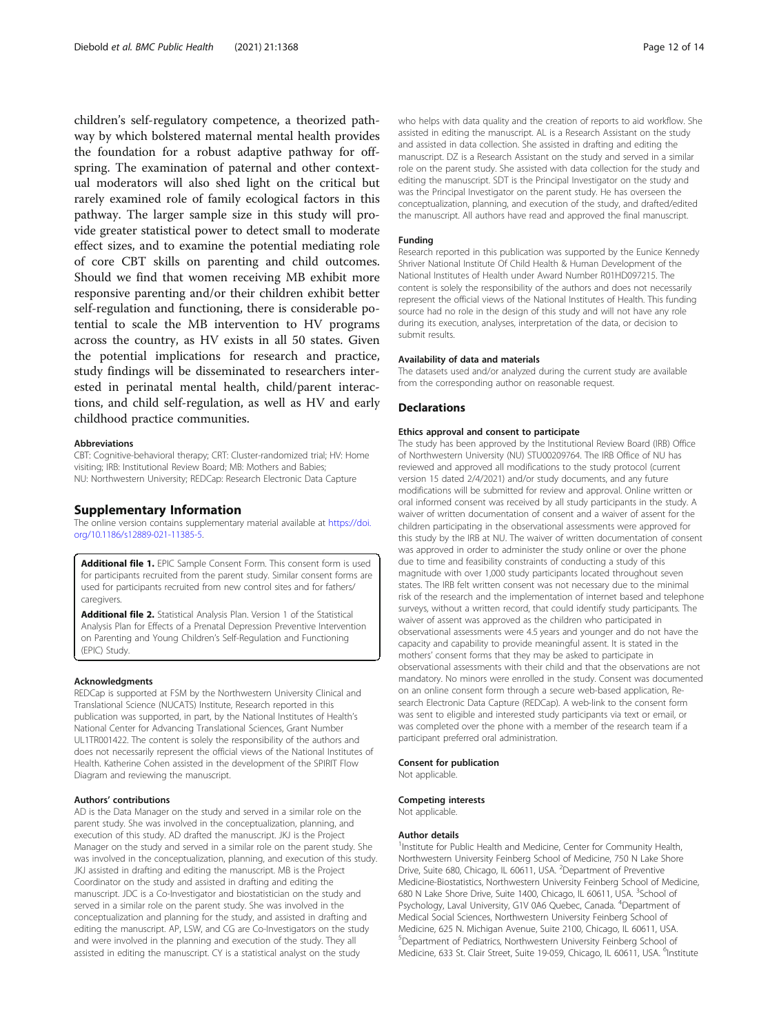<span id="page-11-0"></span>children's self-regulatory competence, a theorized pathway by which bolstered maternal mental health provides the foundation for a robust adaptive pathway for offspring. The examination of paternal and other contextual moderators will also shed light on the critical but rarely examined role of family ecological factors in this pathway. The larger sample size in this study will provide greater statistical power to detect small to moderate effect sizes, and to examine the potential mediating role of core CBT skills on parenting and child outcomes. Should we find that women receiving MB exhibit more responsive parenting and/or their children exhibit better self-regulation and functioning, there is considerable potential to scale the MB intervention to HV programs across the country, as HV exists in all 50 states. Given the potential implications for research and practice, study findings will be disseminated to researchers interested in perinatal mental health, child/parent interactions, and child self-regulation, as well as HV and early childhood practice communities.

#### Abbreviations

CBT: Cognitive-behavioral therapy; CRT: Cluster-randomized trial; HV: Home visiting; IRB: Institutional Review Board; MB: Mothers and Babies; NU: Northwestern University; REDCap: Research Electronic Data Capture

#### Supplementary Information

The online version contains supplementary material available at [https://doi.](https://doi.org/10.1186/s12889-021-11385-5) [org/10.1186/s12889-021-11385-5.](https://doi.org/10.1186/s12889-021-11385-5)

Additional file 1. EPIC Sample Consent Form. This consent form is used for participants recruited from the parent study. Similar consent forms are used for participants recruited from new control sites and for fathers/ caregivers.

Additional file 2. Statistical Analysis Plan. Version 1 of the Statistical Analysis Plan for Effects of a Prenatal Depression Preventive Intervention on Parenting and Young Children's Self-Regulation and Functioning (EPIC) Study.

#### Acknowledgments

REDCap is supported at FSM by the Northwestern University Clinical and Translational Science (NUCATS) Institute, Research reported in this publication was supported, in part, by the National Institutes of Health's National Center for Advancing Translational Sciences, Grant Number UL1TR001422. The content is solely the responsibility of the authors and does not necessarily represent the official views of the National Institutes of Health. Katherine Cohen assisted in the development of the SPIRIT Flow Diagram and reviewing the manuscript.

#### Authors' contributions

AD is the Data Manager on the study and served in a similar role on the parent study. She was involved in the conceptualization, planning, and execution of this study. AD drafted the manuscript. JKJ is the Project Manager on the study and served in a similar role on the parent study. She was involved in the conceptualization, planning, and execution of this study. JKJ assisted in drafting and editing the manuscript. MB is the Project Coordinator on the study and assisted in drafting and editing the manuscript. JDC is a Co-Investigator and biostatistician on the study and served in a similar role on the parent study. She was involved in the conceptualization and planning for the study, and assisted in drafting and editing the manuscript. AP, LSW, and CG are Co-Investigators on the study and were involved in the planning and execution of the study. They all assisted in editing the manuscript. CY is a statistical analyst on the study

who helps with data quality and the creation of reports to aid workflow. She assisted in editing the manuscript. AL is a Research Assistant on the study and assisted in data collection. She assisted in drafting and editing the manuscript. DZ is a Research Assistant on the study and served in a similar role on the parent study. She assisted with data collection for the study and editing the manuscript. SDT is the Principal Investigator on the study and was the Principal Investigator on the parent study. He has overseen the conceptualization, planning, and execution of the study, and drafted/edited the manuscript. All authors have read and approved the final manuscript.

#### Funding

Research reported in this publication was supported by the Eunice Kennedy Shriver National Institute Of Child Health & Human Development of the National Institutes of Health under Award Number R01HD097215. The content is solely the responsibility of the authors and does not necessarily represent the official views of the National Institutes of Health. This funding source had no role in the design of this study and will not have any role during its execution, analyses, interpretation of the data, or decision to submit results.

#### Availability of data and materials

The datasets used and/or analyzed during the current study are available from the corresponding author on reasonable request.

#### **Declarations**

#### Ethics approval and consent to participate

The study has been approved by the Institutional Review Board (IRB) Office of Northwestern University (NU) STU00209764. The IRB Office of NU has reviewed and approved all modifications to the study protocol (current version 15 dated 2/4/2021) and/or study documents, and any future modifications will be submitted for review and approval. Online written or oral informed consent was received by all study participants in the study. A waiver of written documentation of consent and a waiver of assent for the children participating in the observational assessments were approved for this study by the IRB at NU. The waiver of written documentation of consent was approved in order to administer the study online or over the phone due to time and feasibility constraints of conducting a study of this magnitude with over 1,000 study participants located throughout seven states. The IRB felt written consent was not necessary due to the minimal risk of the research and the implementation of internet based and telephone surveys, without a written record, that could identify study participants. The waiver of assent was approved as the children who participated in observational assessments were 4.5 years and younger and do not have the capacity and capability to provide meaningful assent. It is stated in the mothers' consent forms that they may be asked to participate in observational assessments with their child and that the observations are not mandatory. No minors were enrolled in the study. Consent was documented on an online consent form through a secure web-based application, Research Electronic Data Capture (REDCap). A web-link to the consent form was sent to eligible and interested study participants via text or email, or was completed over the phone with a member of the research team if a participant preferred oral administration.

#### Consent for publication

Not applicable.

#### Competing interests

Not applicable.

#### Author details

<sup>1</sup>Institute for Public Health and Medicine, Center for Community Health, Northwestern University Feinberg School of Medicine, 750 N Lake Shore Drive, Suite 680, Chicago, IL 60611, USA. <sup>2</sup>Department of Preventive Medicine-Biostatistics, Northwestern University Feinberg School of Medicine, 680 N Lake Shore Drive, Suite 1400, Chicago, IL 60611, USA. <sup>3</sup>School of Psychology, Laval University, G1V 0A6 Quebec, Canada. <sup>4</sup>Department of Medical Social Sciences, Northwestern University Feinberg School of Medicine, 625 N. Michigan Avenue, Suite 2100, Chicago, IL 60611, USA. 5 Department of Pediatrics, Northwestern University Feinberg School of Medicine, 633 St. Clair Street, Suite 19-059, Chicago, IL 60611, USA. <sup>6</sup>Institute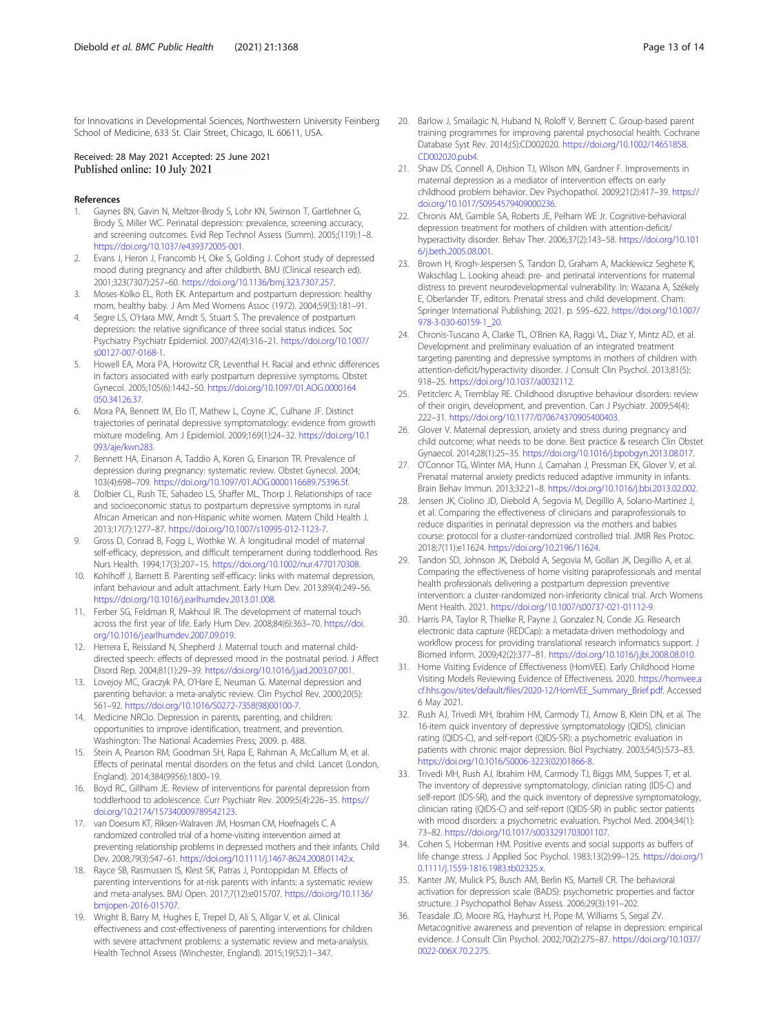<span id="page-12-0"></span>for Innovations in Developmental Sciences, Northwestern University Feinberg School of Medicine, 633 St. Clair Street, Chicago, IL 60611, USA.

#### Received: 28 May 2021 Accepted: 25 June 2021 Published online: 10 July 2021

#### References

- 1. Gaynes BN, Gavin N, Meltzer-Brody S, Lohr KN, Swinson T, Gartlehner G, Brody S, Miller WC. Perinatal depression: prevalence, screening accuracy, and screening outcomes. Evid Rep Technol Assess (Summ). 2005;(119):1–8. <https://doi.org/10.1037/e439372005-001>.
- 2. Evans J, Heron J, Francomb H, Oke S, Golding J. Cohort study of depressed mood during pregnancy and after childbirth. BMJ (Clinical research ed). 2001;323(7307):257–60. <https://doi.org/10.1136/bmj.323.7307.257>.
- 3. Moses-Kolko EL, Roth EK. Antepartum and postpartum depression: healthy mom, healthy baby. J Am Med Womens Assoc (1972). 2004;59(3):181–91.
- 4. Segre LS, O'Hara MW, Arndt S, Stuart S. The prevalence of postpartum depression: the relative significance of three social status indices. Soc Psychiatry Psychiatr Epidemiol. 2007;42(4):316–21. [https://doi.org/10.1007/](https://doi.org/10.1007/s00127-007-0168-1) [s00127-007-0168-1.](https://doi.org/10.1007/s00127-007-0168-1)
- 5. Howell EA, Mora PA, Horowitz CR, Leventhal H. Racial and ethnic differences in factors associated with early postpartum depressive symptoms. Obstet Gynecol. 2005;105(6):1442–50. [https://doi.org/10.1097/01.AOG.0000164](https://doi.org/10.1097/01.AOG.0000164050.34126.37) [050.34126.37](https://doi.org/10.1097/01.AOG.0000164050.34126.37).
- 6. Mora PA, Bennett IM, Elo IT, Mathew L, Coyne JC, Culhane JF. Distinct trajectories of perinatal depressive symptomatology: evidence from growth mixture modeling. Am J Epidemiol. 2009;169(1):24–32. [https://doi.org/10.1](https://doi.org/10.1093/aje/kwn283) [093/aje/kwn283](https://doi.org/10.1093/aje/kwn283).
- 7. Bennett HA, Einarson A, Taddio A, Koren G, Einarson TR. Prevalence of depression during pregnancy: systematic review. Obstet Gynecol. 2004; 103(4):698–709. <https://doi.org/10.1097/01.AOG.0000116689.75396.5f>.
- 8. Dolbier CL, Rush TE, Sahadeo LS, Shaffer ML, Thorp J. Relationships of race and socioeconomic status to postpartum depressive symptoms in rural African American and non-Hispanic white women. Matern Child Health J. 2013;17(7):1277–87. <https://doi.org/10.1007/s10995-012-1123-7>.
- Gross D, Conrad B, Fogg L, Wothke W. A longitudinal model of maternal self-efficacy, depression, and difficult temperament during toddlerhood. Res Nurs Health. 1994;17(3):207–15. [https://doi.org/10.1002/nur.4770170308.](https://doi.org/10.1002/nur.4770170308)
- 10. Kohlhoff J, Barnett B. Parenting self-efficacy: links with maternal depression, infant behaviour and adult attachment. Early Hum Dev. 2013;89(4):249–56. [https://doi.org/10.1016/j.earlhumdev.2013.01.008.](https://doi.org/10.1016/j.earlhumdev.2013.01.008)
- 11. Ferber SG, Feldman R, Makhoul IR. The development of maternal touch across the first year of life. Early Hum Dev. 2008;84(6):363–70. [https://doi.](https://doi.org/10.1016/j.earlhumdev.2007.09.019) [org/10.1016/j.earlhumdev.2007.09.019.](https://doi.org/10.1016/j.earlhumdev.2007.09.019)
- 12. Herrera E, Reissland N, Shepherd J. Maternal touch and maternal childdirected speech: effects of depressed mood in the postnatal period. J Affect Disord Rep. 2004;81(1):29–39. [https://doi.org/10.1016/j.jad.2003.07.001.](https://doi.org/10.1016/j.jad.2003.07.001)
- 13. Lovejoy MC, Graczyk PA, O'Hare E, Neuman G. Maternal depression and parenting behavior: a meta-analytic review. Clin Psychol Rev. 2000;20(5): 561–92. [https://doi.org/10.1016/S0272-7358\(98\)00100-7.](https://doi.org/10.1016/S0272-7358(98)00100-7)
- 14. Medicine NRCIo. Depression in parents, parenting, and children: opportunities to improve identification, treatment, and prevention. Washington: The National Academies Press; 2009. p. 488.
- 15. Stein A, Pearson RM, Goodman SH, Rapa E, Rahman A, McCallum M, et al. Effects of perinatal mental disorders on the fetus and child. Lancet (London, England). 2014;384(9956):1800–19.
- 16. Boyd RC, Gillham JE. Review of interventions for parental depression from toddlerhood to adolescence. Curr Psychiatr Rev. 2009;5(4):226–35. [https://](https://doi.org/10.2174/157340009789542123) [doi.org/10.2174/157340009789542123.](https://doi.org/10.2174/157340009789542123)
- 17. van Doesum KT, Riksen-Walraven JM, Hosman CM, Hoefnagels C. A randomized controlled trial of a home-visiting intervention aimed at preventing relationship problems in depressed mothers and their infants. Child Dev. 2008;79(3):547–61. [https://doi.org/10.1111/j.1467-8624.2008.01142.x.](https://doi.org/10.1111/j.1467-8624.2008.01142.x)
- 18. Rayce SB, Rasmussen IS, Klest SK, Patras J, Pontoppidan M. Effects of parenting interventions for at-risk parents with infants: a systematic review and meta-analyses. BMJ Open. 2017;7(12):e015707. [https://doi.org/10.1136/](https://doi.org/10.1136/bmjopen-2016-015707) [bmjopen-2016-015707.](https://doi.org/10.1136/bmjopen-2016-015707)
- 19. Wright B, Barry M, Hughes E, Trepel D, Ali S, Allgar V, et al. Clinical effectiveness and cost-effectiveness of parenting interventions for children with severe attachment problems: a systematic review and meta-analysis. Health Technol Assess (Winchester, England). 2015;19(52):1–347.
- 20. Barlow J, Smailagic N, Huband N, Roloff V, Bennett C. Group-based parent training programmes for improving parental psychosocial health. Cochrane Database Syst Rev. 2014;(5):CD002020. [https://doi.org/10.1002/14651858.](https://doi.org/10.1002/14651858.CD002020.pub4) [CD002020.pub4.](https://doi.org/10.1002/14651858.CD002020.pub4)
- 21. Shaw DS, Connell A, Dishion TJ, Wilson MN, Gardner F. Improvements in maternal depression as a mediator of intervention effects on early childhood problem behavior. Dev Psychopathol. 2009;21(2):417–39. [https://](https://doi.org/10.1017/S0954579409000236) [doi.org/10.1017/S0954579409000236](https://doi.org/10.1017/S0954579409000236).
- 22. Chronis AM, Gamble SA, Roberts JE, Pelham WE Jr. Cognitive-behavioral depression treatment for mothers of children with attention-deficit/ hyperactivity disorder. Behav Ther. 2006;37(2):143–58. [https://doi.org/10.101](https://doi.org/10.1016/j.beth.2005.08.001) [6/j.beth.2005.08.001.](https://doi.org/10.1016/j.beth.2005.08.001)
- 23. Brown H, Krogh-Jespersen S, Tandon D, Graham A, Mackiewicz Seghete K, Wakschlag L. Looking ahead: pre- and perinatal interventions for maternal distress to prevent neurodevelopmental vulnerability. In: Wazana A, Székely E, Oberlander TF, editors. Prenatal stress and child development. Cham: Springer International Publishing; 2021. p. 595–622. [https://doi.org/10.1007/](https://doi.org/10.1007/978-3-030-60159-1_20) [978-3-030-60159-1\\_20.](https://doi.org/10.1007/978-3-030-60159-1_20)
- 24. Chronis-Tuscano A, Clarke TL, O'Brien KA, Raggi VL, Diaz Y, Mintz AD, et al. Development and preliminary evaluation of an integrated treatment targeting parenting and depressive symptoms in mothers of children with attention-deficit/hyperactivity disorder. J Consult Clin Psychol. 2013;81(5): 918–25. [https://doi.org/10.1037/a0032112.](https://doi.org/10.1037/a0032112)
- 25. Petitclerc A, Tremblay RE. Childhood disruptive behaviour disorders: review of their origin, development, and prevention. Can J Psychiatr. 2009;54(4): 222–31. <https://doi.org/10.1177/070674370905400403>.
- 26. Glover V. Maternal depression, anxiety and stress during pregnancy and child outcome; what needs to be done. Best practice & research Clin Obstet Gynaecol. 2014;28(1):25–35. <https://doi.org/10.1016/j.bpobgyn.2013.08.017>.
- 27. O'Connor TG, Winter MA, Hunn J, Carnahan J, Pressman EK, Glover V, et al. Prenatal maternal anxiety predicts reduced adaptive immunity in infants. Brain Behav Immun. 2013;32:21–8. <https://doi.org/10.1016/j.bbi.2013.02.002>.
- 28. Jensen JK, Ciolino JD, Diebold A, Segovia M, Degillio A, Solano-Martinez J, et al. Comparing the effectiveness of clinicians and paraprofessionals to reduce disparities in perinatal depression via the mothers and babies course: protocol for a cluster-randomized controlled trial. JMIR Res Protoc. 2018;7(11):e11624. [https://doi.org/10.2196/11624.](https://doi.org/10.2196/11624)
- 29. Tandon SD, Johnson JK, Diebold A, Segovia M, Gollan JK, Degillio A, et al. Comparing the effectiveness of home visiting paraprofessionals and mental health professionals delivering a postpartum depression preventive intervention: a cluster-randomized non-inferiority clinical trial. Arch Womens Ment Health. 2021. <https://doi.org/10.1007/s00737-021-01112-9>.
- 30. Harris PA, Taylor R, Thielke R, Payne J, Gonzalez N, Conde JG. Research electronic data capture (REDCap): a metadata-driven methodology and workflow process for providing translational research informatics support. J Biomed Inform. 2009;42(2):377–81. [https://doi.org/10.1016/j.jbi.2008.08.010.](https://doi.org/10.1016/j.jbi.2008.08.010)
- 31. Home Visiting Evidence of Effectiveness (HomVEE). Early Childhood Home Visiting Models Reviewing Evidence of Effectiveness. 2020. [https://homvee.a](https://homvee.acf.hhs.gov/sites/default/files/2020-12/HomVEE_Summary_Brief.pdf) [cf.hhs.gov/sites/default/files/2020-12/HomVEE\\_Summary\\_Brief.pdf.](https://homvee.acf.hhs.gov/sites/default/files/2020-12/HomVEE_Summary_Brief.pdf) Accessed 6 May 2021.
- 32. Rush AJ, Trivedi MH, Ibrahim HM, Carmody TJ, Arnow B, Klein DN, et al. The 16-item quick inventory of depressive symptomatology (QIDS), clinician rating (QIDS-C), and self-report (QIDS-SR): a psychometric evaluation in patients with chronic major depression. Biol Psychiatry. 2003;54(5):573–83. [https://doi.org/10.1016/S0006-3223\(02\)01866-8.](https://doi.org/10.1016/S0006-3223(02)01866-8)
- 33. Trivedi MH, Rush AJ, Ibrahim HM, Carmody TJ, Biggs MM, Suppes T, et al. The inventory of depressive symptomatology, clinician rating (IDS-C) and self-report (IDS-SR), and the quick inventory of depressive symptomatology, clinician rating (QIDS-C) and self-report (QIDS-SR) in public sector patients with mood disorders: a psychometric evaluation. Psychol Med. 2004;34(1): 73–82. [https://doi.org/10.1017/s0033291703001107.](https://doi.org/10.1017/s0033291703001107)
- 34. Cohen S, Hoberman HM. Positive events and social supports as buffers of life change stress. J Applied Soc Psychol. 1983;13(2):99–125. [https://doi.org/1](https://doi.org/10.1111/j.1559-1816.1983.tb02325.x) [0.1111/j.1559-1816.1983.tb02325.x.](https://doi.org/10.1111/j.1559-1816.1983.tb02325.x)
- 35. Kanter JW, Mulick PS, Busch AM, Berlin KS, Martell CR. The behavioral activation for depression scale (BADS): psychometric properties and factor structure. J Psychopathol Behav Assess. 2006;29(3):191–202.
- 36. Teasdale JD, Moore RG, Hayhurst H, Pope M, Williams S, Segal ZV. Metacognitive awareness and prevention of relapse in depression: empirical evidence. J Consult Clin Psychol. 2002;70(2):275–87. [https://doi.org/10.1037/](https://doi.org/10.1037/0022-006X.70.2.275) [0022-006X.70.2.275.](https://doi.org/10.1037/0022-006X.70.2.275)